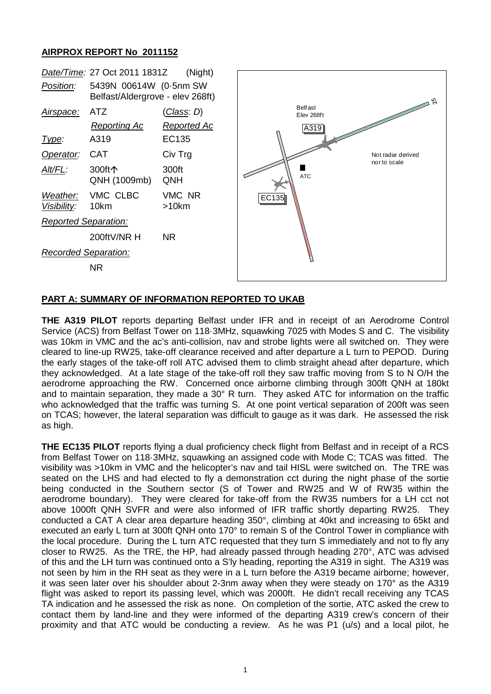## **AIRPROX REPORT No 2011152**



## **PART A: SUMMARY OF INFORMATION REPORTED TO UKAB**

**THE A319 PILOT** reports departing Belfast under IFR and in receipt of an Aerodrome Control Service (ACS) from Belfast Tower on 118·3MHz, squawking 7025 with Modes S and C. The visibility was 10km in VMC and the ac's anti-collision, nav and strobe lights were all switched on. They were cleared to line-up RW25, take-off clearance received and after departure a L turn to PEPOD. During the early stages of the take-off roll ATC advised them to climb straight ahead after departure, which they acknowledged. At a late stage of the take-off roll they saw traffic moving from S to N O/H the aerodrome approaching the RW. Concerned once airborne climbing through 300ft QNH at 180kt and to maintain separation, they made a 30° R turn. They asked ATC for information on the traffic who acknowledged that the traffic was turning S. At one point vertical separation of 200ft was seen on TCAS; however, the lateral separation was difficult to gauge as it was dark. He assessed the risk as high.

**THE EC135 PILOT** reports flying a dual proficiency check flight from Belfast and in receipt of a RCS from Belfast Tower on 118·3MHz, squawking an assigned code with Mode C; TCAS was fitted. The visibility was >10km in VMC and the helicopter's nav and tail HISL were switched on. The TRE was seated on the LHS and had elected to fly a demonstration cct during the night phase of the sortie being conducted in the Southern sector (S of Tower and RW25 and W of RW35 within the aerodrome boundary). They were cleared for take-off from the RW35 numbers for a LH cct not above 1000ft QNH SVFR and were also informed of IFR traffic shortly departing RW25. They conducted a CAT A clear area departure heading 350°, climbing at 40kt and increasing to 65kt and executed an early L turn at 300ft QNH onto 170° to remain S of the Control Tower in compliance with the local procedure. During the L turn ATC requested that they turn S immediately and not to fly any closer to RW25. As the TRE, the HP, had already passed through heading 270°, ATC was advised of this and the LH turn was continued onto a S'ly heading, reporting the A319 in sight. The A319 was not seen by him in the RH seat as they were in a L turn before the A319 became airborne; however, it was seen later over his shoulder about 2-3nm away when they were steady on 170° as the A319 flight was asked to report its passing level, which was 2000ft. He didn't recall receiving any TCAS TA indication and he assessed the risk as none. On completion of the sortie, ATC asked the crew to contact them by land-line and they were informed of the departing A319 crew's concern of their proximity and that ATC would be conducting a review. As he was P1 (u/s) and a local pilot, he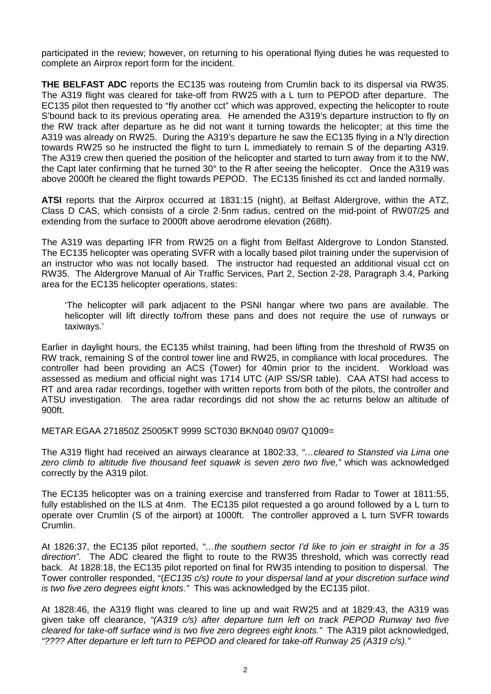participated in the review; however, on returning to his operational flying duties he was requested to complete an Airprox report form for the incident.

**THE BELFAST ADC** reports the EC135 was routeing from Crumlin back to its dispersal via RW35. The A319 flight was cleared for take-off from RW25 with a L turn to PEPOD after departure. The EC135 pilot then requested to "fly another cct" which was approved, expecting the helicopter to route S'bound back to its previous operating area. He amended the A319's departure instruction to fly on the RW track after departure as he did not want it turning towards the helicopter; at this time the A319 was already on RW25. During the A319's departure he saw the EC135 flying in a N'ly direction towards RW25 so he instructed the flight to turn L immediately to remain S of the departing A319. The A319 crew then queried the position of the helicopter and started to turn away from it to the NW, the Capt later confirming that he turned 30° to the R after seeing the helicopter. Once the A319 was above 2000ft he cleared the flight towards PEPOD. The EC135 finished its cct and landed normally.

**ATSI** reports that the Airprox occurred at 1831:15 (night), at Belfast Aldergrove, within the ATZ, Class D CAS, which consists of a circle 2·5nm radius, centred on the mid-point of RW07/25 and extending from the surface to 2000ft above aerodrome elevation (268ft).

The A319 was departing IFR from RW25 on a flight from Belfast Aldergrove to London Stansted. The EC135 helicopter was operating SVFR with a locally based pilot training under the supervision of an instructor who was not locally based. The instructor had requested an additional visual cct on RW35. The Aldergrove Manual of Air Traffic Services, Part 2, Section 2-28, Paragraph 3.4, Parking area for the EC135 helicopter operations, states:

'The helicopter will park adjacent to the PSNI hangar where two pans are available. The helicopter will lift directly to/from these pans and does not require the use of runways or taxiways.'

Earlier in daylight hours, the EC135 whilst training, had been lifting from the threshold of RW35 on RW track, remaining S of the control tower line and RW25, in compliance with local procedures. The controller had been providing an ACS (Tower) for 40min prior to the incident. Workload was assessed as medium and official night was 1714 UTC (AIP SS/SR table). CAA ATSI had access to RT and area radar recordings, together with written reports from both of the pilots, the controller and ATSU investigation. The area radar recordings did not show the ac returns below an altitude of 900ft.

METAR EGAA 271850Z 25005KT 9999 SCT030 BKN040 09/07 Q1009=

The A319 flight had received an airways clearance at 1802:33, *"…cleared to Stansted via Lima one zero climb to altitude five thousand feet squawk is seven zero two five,"* which was acknowledged correctly by the A319 pilot.

The EC135 helicopter was on a training exercise and transferred from Radar to Tower at 1811:55, fully established on the ILS at 4nm. The EC135 pilot requested a go around followed by a L turn to operate over Crumlin (S of the airport) at 1000ft. The controller approved a L turn SVFR towards Crumlin.

At 1826:37, the EC135 pilot reported, *"…the southern sector I'd like to join er straight in for a 35 direction"*. The ADC cleared the flight to route to the RW35 threshold, which was correctly read back. At 1828:18, the EC135 pilot reported on final for RW35 intending to position to dispersal. The Tower controller responded, "(*EC135 c/s) route to your dispersal land at your discretion surface wind is two five zero degrees eight knots."* This was acknowledged by the EC135 pilot.

At 1828:46, the A319 flight was cleared to line up and wait RW25 and at 1829:43, the A319 was given take off clearance, *"(A319 c/s) after departure turn left on track PEPOD Runway two five cleared for take-off surface wind is two five zero degrees eight knots."* The A319 pilot acknowledged, *"???? After departure er left turn to PEPOD and cleared for take-off Runway 25 (A319 c/s)."*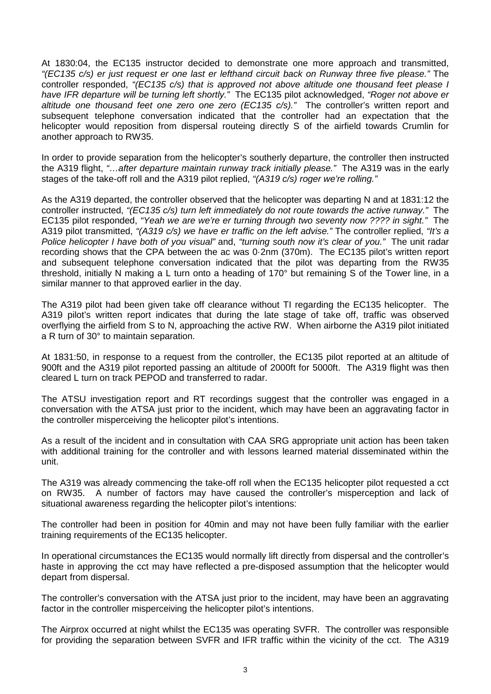At 1830:04, the EC135 instructor decided to demonstrate one more approach and transmitted, *"(EC135 c/s) er just request er one last er lefthand circuit back on Runway three five please."* The controller responded, *"(EC135 c/s) that is approved not above altitude one thousand feet please I have IFR departure will be turning left shortly."* The EC135 pilot acknowledged, *"Roger not above er altitude one thousand feet one zero one zero (EC135 c/s)."* The controller's written report and subsequent telephone conversation indicated that the controller had an expectation that the helicopter would reposition from dispersal routeing directly S of the airfield towards Crumlin for another approach to RW35.

In order to provide separation from the helicopter's southerly departure, the controller then instructed the A319 flight, *"…after departure maintain runway track initially please."* The A319 was in the early stages of the take-off roll and the A319 pilot replied, *"(A319 c/s) roger we're rolling."*

As the A319 departed, the controller observed that the helicopter was departing N and at 1831:12 the controller instructed, *"(EC135 c/s) turn left immediately do not route towards the active runway."* The EC135 pilot responded, *"Yeah we are we're er turning through two seventy now ???? in sight."* The A319 pilot transmitted, *"(A319 c/s) we have er traffic on the left advise."* The controller replied, *"It's a Police helicopter I have both of you visual"* and, *"turning south now it's clear of you."* The unit radar recording shows that the CPA between the ac was 0·2nm (370m). The EC135 pilot's written report and subsequent telephone conversation indicated that the pilot was departing from the RW35 threshold, initially N making a L turn onto a heading of 170° but remaining S of the Tower line, in a similar manner to that approved earlier in the day.

The A319 pilot had been given take off clearance without TI regarding the EC135 helicopter. The A319 pilot's written report indicates that during the late stage of take off, traffic was observed overflying the airfield from S to N, approaching the active RW. When airborne the A319 pilot initiated a R turn of 30° to maintain separation.

At 1831:50, in response to a request from the controller, the EC135 pilot reported at an altitude of 900ft and the A319 pilot reported passing an altitude of 2000ft for 5000ft. The A319 flight was then cleared L turn on track PEPOD and transferred to radar.

The ATSU investigation report and RT recordings suggest that the controller was engaged in a conversation with the ATSA just prior to the incident, which may have been an aggravating factor in the controller misperceiving the helicopter pilot's intentions.

As a result of the incident and in consultation with CAA SRG appropriate unit action has been taken with additional training for the controller and with lessons learned material disseminated within the unit.

The A319 was already commencing the take-off roll when the EC135 helicopter pilot requested a cct on RW35. A number of factors may have caused the controller's misperception and lack of situational awareness regarding the helicopter pilot's intentions:

The controller had been in position for 40min and may not have been fully familiar with the earlier training requirements of the EC135 helicopter.

In operational circumstances the EC135 would normally lift directly from dispersal and the controller's haste in approving the cct may have reflected a pre-disposed assumption that the helicopter would depart from dispersal.

The controller's conversation with the ATSA just prior to the incident, may have been an aggravating factor in the controller misperceiving the helicopter pilot's intentions.

The Airprox occurred at night whilst the EC135 was operating SVFR. The controller was responsible for providing the separation between SVFR and IFR traffic within the vicinity of the cct. The A319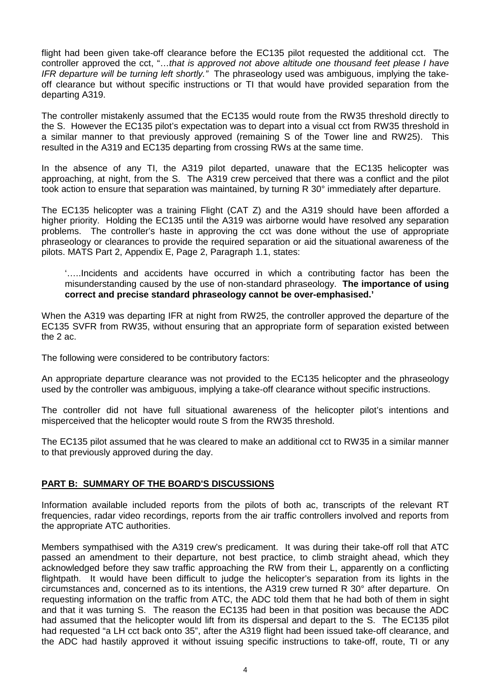flight had been given take-off clearance before the EC135 pilot requested the additional cct. The controller approved the cct, "…*that is approved not above altitude one thousand feet please I have IFR departure will be turning left shortly."* The phraseology used was ambiguous, implying the takeoff clearance but without specific instructions or TI that would have provided separation from the departing A319.

The controller mistakenly assumed that the EC135 would route from the RW35 threshold directly to the S. However the EC135 pilot's expectation was to depart into a visual cct from RW35 threshold in a similar manner to that previously approved (remaining S of the Tower line and RW25). This resulted in the A319 and EC135 departing from crossing RWs at the same time.

In the absence of any TI, the A319 pilot departed, unaware that the EC135 helicopter was approaching, at night, from the S. The A319 crew perceived that there was a conflict and the pilot took action to ensure that separation was maintained, by turning R 30° immediately after departure.

The EC135 helicopter was a training Flight (CAT Z) and the A319 should have been afforded a higher priority. Holding the EC135 until the A319 was airborne would have resolved any separation problems. The controller's haste in approving the cct was done without the use of appropriate phraseology or clearances to provide the required separation or aid the situational awareness of the pilots. MATS Part 2, Appendix E, Page 2, Paragraph 1.1, states:

'…..Incidents and accidents have occurred in which a contributing factor has been the misunderstanding caused by the use of non-standard phraseology. **The importance of using correct and precise standard phraseology cannot be over-emphasised.'**

When the A319 was departing IFR at night from RW25, the controller approved the departure of the EC135 SVFR from RW35, without ensuring that an appropriate form of separation existed between the 2 ac.

The following were considered to be contributory factors:

An appropriate departure clearance was not provided to the EC135 helicopter and the phraseology used by the controller was ambiguous, implying a take-off clearance without specific instructions.

The controller did not have full situational awareness of the helicopter pilot's intentions and misperceived that the helicopter would route S from the RW35 threshold.

The EC135 pilot assumed that he was cleared to make an additional cct to RW35 in a similar manner to that previously approved during the day.

## **PART B: SUMMARY OF THE BOARD'S DISCUSSIONS**

Information available included reports from the pilots of both ac, transcripts of the relevant RT frequencies, radar video recordings, reports from the air traffic controllers involved and reports from the appropriate ATC authorities.

Members sympathised with the A319 crew's predicament. It was during their take-off roll that ATC passed an amendment to their departure, not best practice, to climb straight ahead, which they acknowledged before they saw traffic approaching the RW from their L, apparently on a conflicting flightpath. It would have been difficult to judge the helicopter's separation from its lights in the circumstances and, concerned as to its intentions, the A319 crew turned R 30° after departure. On requesting information on the traffic from ATC, the ADC told them that he had both of them in sight and that it was turning S. The reason the EC135 had been in that position was because the ADC had assumed that the helicopter would lift from its dispersal and depart to the S. The EC135 pilot had requested "a LH cct back onto 35", after the A319 flight had been issued take-off clearance, and the ADC had hastily approved it without issuing specific instructions to take-off, route, TI or any